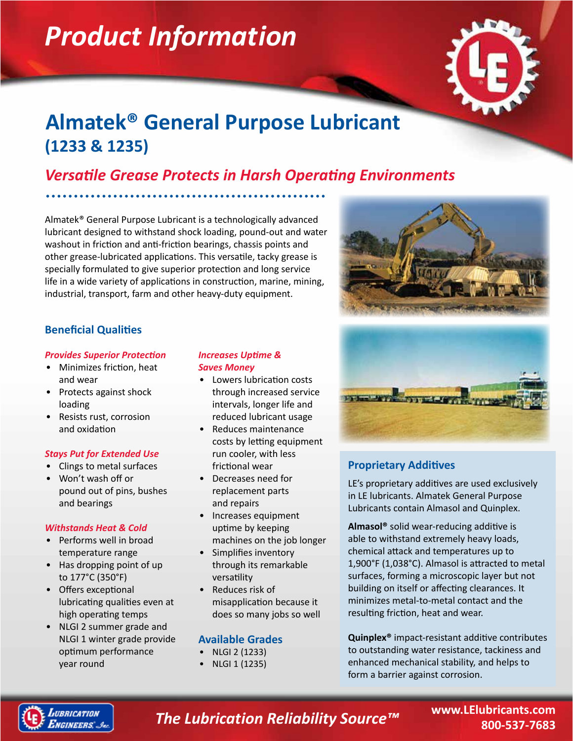# *Product Information*



## **Almatek® General Purpose Lubricant (1233 & 1235)**

### *Versatile Grease Protects in Harsh Operating Environments*

Almatek® General Purpose Lubricant is a technologically advanced lubricant designed to withstand shock loading, pound-out and water washout in friction and anti-friction bearings, chassis points and other grease-lubricated applications. This versatile, tacky grease is specially formulated to give superior protection and long service life in a wide variety of applications in construction, marine, mining, industrial, transport, farm and other heavy-duty equipment.



#### **Beneficial Qualities**

#### *Provides Superior Protection*

- Minimizes friction, heat and wear
- Protects against shock loading
- Resists rust, corrosion and oxidation

#### *Stays Put for Extended Use*

- Clings to metal surfaces
- Won't wash off or pound out of pins, bushes and bearings

#### *Withstands Heat & Cold*

- Performs well in broad temperature range
- Has dropping point of up to 177°C (350°F)
- Offers exceptional lubricating qualities even at high operating temps
- NLGI 2 summer grade and NLGI 1 winter grade provide optimum performance year round

#### *Increases Uptime & Saves Money*

- Lowers lubrication costs through increased service intervals, longer life and reduced lubricant usage
- Reduces maintenance costs by letting equipment run cooler, with less frictional wear
- Decreases need for replacement parts and repairs
- Increases equipment uptime by keeping machines on the job longer
- Simplifies inventory through its remarkable versatility
- Reduces risk of misapplication because it does so many jobs so well

#### **Available Grades**

- NLGI 2 (1233)
- NLGI 1 (1235)



#### **Proprietary Additives**

LE's proprietary additives are used exclusively in LE lubricants. Almatek General Purpose Lubricants contain Almasol and Quinplex.

**Almasol®** solid wear-reducing additive is able to withstand extremely heavy loads, chemical attack and temperatures up to 1,900°F (1,038°C). Almasol is attracted to metal surfaces, forming a microscopic layer but not building on itself or affecting clearances. It minimizes metal-to-metal contact and the resulting friction, heat and wear.

**Quinplex®** impact-resistant additive contributes to outstanding water resistance, tackiness and enhanced mechanical stability, and helps to form a barrier against corrosion.



### *The Lubrication Reliability Source™*